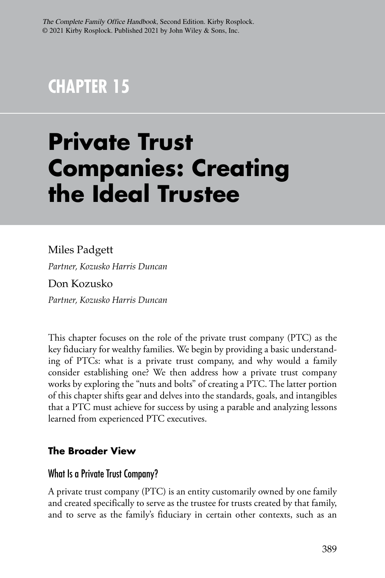The Complete Family Office Handbook, Second Edition. Kirby Rosplock. © 2021 Kirby Rosplock. Published 2021 by John Wiley & Sons, Inc.

# **CHAPTER 15**

# **Private Trust Companies: Creating the Ideal Trustee**

Miles Padgett *Partner, Kozusko Harris Duncan* Don Kozusko *Partner, Kozusko Harris Duncan*

This chapter focuses on the role of the private trust company (PTC) as the key fiduciary for wealthy families. We begin by providing a basic understanding of PTCs: what is a private trust company, and why would a family consider establishing one? We then address how a private trust company works by exploring the "nuts and bolts" of creating a PTC. The latter portion of this chapter shifts gear and delves into the standards, goals, and intangibles that a PTC must achieve for success by using a parable and analyzing lessons learned from experienced PTC executives.

# **The Broader View**

# What Is a Private Trust Company?

A private trust company (PTC) is an entity customarily owned by one family and created specifically to serve as the trustee for trusts created by that family, and to serve as the family's fiduciary in certain other contexts, such as an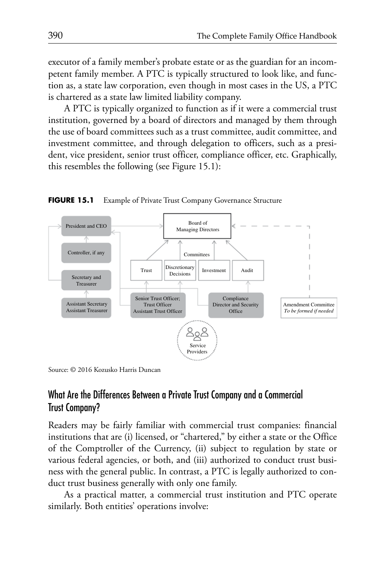executor of a family member's probate estate or as the guardian for an incompetent family member. A PTC is typically structured to look like, and function as, a state law corporation, even though in most cases in the US, a PTC is chartered as a state law limited liability company.

A PTC is typically organized to function as if it were a commercial trust institution, governed by a board of directors and managed by them through the use of board committees such as a trust committee, audit committee, and investment committee, and through delegation to officers, such as a president, vice president, senior trust officer, compliance officer, etc. Graphically, this resembles the following (see Figure 15.1):

**FIGURE 15.1** Example of Private Trust Company Governance Structure



Source: © 2016 Kozusko Harris Duncan

# What Are the Differences Between a Private Trust Company and a Commercial Trust Company?

Readers may be fairly familiar with commercial trust companies: financial institutions that are (i) licensed, or "chartered," by either a state or the Office of the Comptroller of the Currency, (ii) subject to regulation by state or various federal agencies, or both, and (iii) authorized to conduct trust business with the general public. In contrast, a PTC is legally authorized to conduct trust business generally with only one family.

As a practical matter, a commercial trust institution and PTC operate similarly. Both entities' operations involve: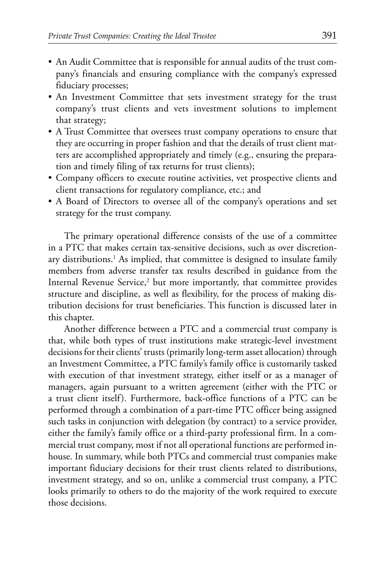- An Audit Committee that is responsible for annual audits of the trust company's financials and ensuring compliance with the company's expressed fiduciary processes;
- An Investment Committee that sets investment strategy for the trust company's trust clients and vets investment solutions to implement that strategy;
- A Trust Committee that oversees trust company operations to ensure that they are occurring in proper fashion and that the details of trust client matters are accomplished appropriately and timely (e.g., ensuring the preparation and timely filing of tax returns for trust clients);
- Company officers to execute routine activities, vet prospective clients and client transactions for regulatory compliance, etc.; and
- A Board of Directors to oversee all of the company's operations and set strategy for the trust company.

The primary operational difference consists of the use of a committee in a PTC that makes certain tax-sensitive decisions, such as over discretionary distributions.<sup>1</sup> As implied, that committee is designed to insulate family members from adverse transfer tax results described in guidance from the Internal Revenue Service,<sup>2</sup> but more importantly, that committee provides structure and discipline, as well as flexibility, for the process of making distribution decisions for trust beneficiaries. This function is discussed later in this chapter.

Another difference between a PTC and a commercial trust company is that, while both types of trust institutions make strategic-level investment decisions for their clients' trusts (primarily long-term asset allocation) through an Investment Committee, a PTC family's family office is customarily tasked with execution of that investment strategy, either itself or as a manager of managers, again pursuant to a written agreement (either with the PTC or a trust client itself). Furthermore, back-office functions of a PTC can be performed through a combination of a part-time PTC officer being assigned such tasks in conjunction with delegation (by contract) to a service provider, either the family's family office or a third-party professional firm. In a commercial trust company, most if not all operational functions are performed inhouse. In summary, while both PTCs and commercial trust companies make important fiduciary decisions for their trust clients related to distributions, investment strategy, and so on, unlike a commercial trust company, a PTC looks primarily to others to do the majority of the work required to execute those decisions.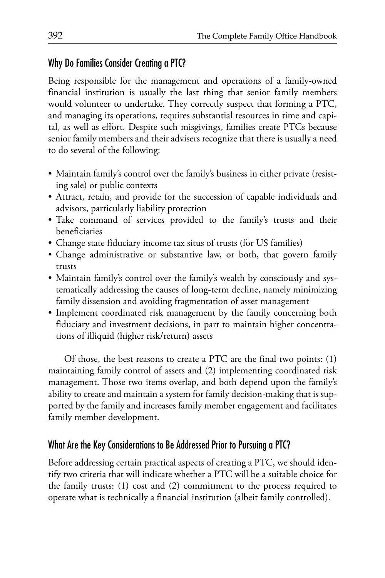# Why Do Families Consider Creating a PTC?

Being responsible for the management and operations of a family-owned financial institution is usually the last thing that senior family members would volunteer to undertake. They correctly suspect that forming a PTC, and managing its operations, requires substantial resources in time and capital, as well as effort. Despite such misgivings, families create PTCs because senior family members and their advisers recognize that there is usually a need to do several of the following:

- Maintain family's control over the family's business in either private (resisting sale) or public contexts
- Attract, retain, and provide for the succession of capable individuals and advisors, particularly liability protection
- Take command of services provided to the family's trusts and their beneficiaries
- Change state fiduciary income tax situs of trusts (for US families)
- Change administrative or substantive law, or both, that govern family trusts
- Maintain family's control over the family's wealth by consciously and systematically addressing the causes of long-term decline, namely minimizing family dissension and avoiding fragmentation of asset management
- Implement coordinated risk management by the family concerning both fiduciary and investment decisions, in part to maintain higher concentrations of illiquid (higher risk/return) assets

Of those, the best reasons to create a PTC are the final two points: (1) maintaining family control of assets and (2) implementing coordinated risk management. Those two items overlap, and both depend upon the family's ability to create and maintain a system for family decision-making that is supported by the family and increases family member engagement and facilitates family member development.

# What Are the Key Considerations to Be Addressed Prior to Pursuing a PTC?

Before addressing certain practical aspects of creating a PTC, we should identify two criteria that will indicate whether a PTC will be a suitable choice for the family trusts: (1) cost and (2) commitment to the process required to operate what is technically a financial institution (albeit family controlled).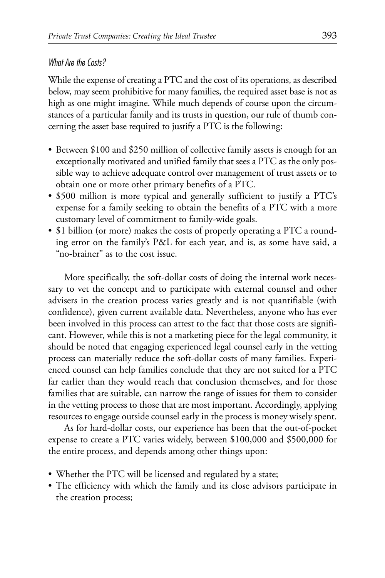#### *What Are the Costs?*

While the expense of creating a PTC and the cost of its operations, as described below, may seem prohibitive for many families, the required asset base is not as high as one might imagine. While much depends of course upon the circumstances of a particular family and its trusts in question, our rule of thumb concerning the asset base required to justify a PTC is the following:

- Between \$100 and \$250 million of collective family assets is enough for an exceptionally motivated and unified family that sees a PTC as the only possible way to achieve adequate control over management of trust assets or to obtain one or more other primary benefits of a PTC.
- \$500 million is more typical and generally sufficient to justify a PTC's expense for a family seeking to obtain the benefits of a PTC with a more customary level of commitment to family-wide goals.
- \$1 billion (or more) makes the costs of properly operating a PTC a rounding error on the family's P&L for each year, and is, as some have said, a "no-brainer" as to the cost issue.

More specifically, the soft-dollar costs of doing the internal work necessary to vet the concept and to participate with external counsel and other advisers in the creation process varies greatly and is not quantifiable (with confidence), given current available data. Nevertheless, anyone who has ever been involved in this process can attest to the fact that those costs are significant. However, while this is not a marketing piece for the legal community, it should be noted that engaging experienced legal counsel early in the vetting process can materially reduce the soft-dollar costs of many families. Experienced counsel can help families conclude that they are not suited for a PTC far earlier than they would reach that conclusion themselves, and for those families that are suitable, can narrow the range of issues for them to consider in the vetting process to those that are most important. Accordingly, applying resources to engage outside counsel early in the process is money wisely spent.

As for hard-dollar costs, our experience has been that the out-of-pocket expense to create a PTC varies widely, between \$100,000 and \$500,000 for the entire process, and depends among other things upon:

- Whether the PTC will be licensed and regulated by a state;
- The efficiency with which the family and its close advisors participate in the creation process;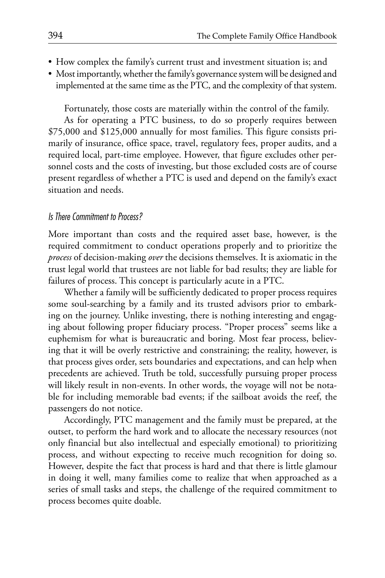- How complex the family's current trust and investment situation is; and
- Most importantly, whether the family's governance system will be designed and implemented at the same time as the PTC, and the complexity of that system.

Fortunately, those costs are materially within the control of the family.

As for operating a PTC business, to do so properly requires between \$75,000 and \$125,000 annually for most families. This figure consists primarily of insurance, office space, travel, regulatory fees, proper audits, and a required local, part-time employee. However, that figure excludes other personnel costs and the costs of investing, but those excluded costs are of course present regardless of whether a PTC is used and depend on the family's exact situation and needs.

#### *Is There Commitment to Process?*

More important than costs and the required asset base, however, is the required commitment to conduct operations properly and to prioritize the *process* of decision-making *over* the decisions themselves. It is axiomatic in the trust legal world that trustees are not liable for bad results; they are liable for failures of process. This concept is particularly acute in a PTC.

Whether a family will be sufficiently dedicated to proper process requires some soul-searching by a family and its trusted advisors prior to embarking on the journey. Unlike investing, there is nothing interesting and engaging about following proper fiduciary process. "Proper process" seems like a euphemism for what is bureaucratic and boring. Most fear process, believing that it will be overly restrictive and constraining; the reality, however, is that process gives order, sets boundaries and expectations, and can help when precedents are achieved. Truth be told, successfully pursuing proper process will likely result in non-events. In other words, the voyage will not be notable for including memorable bad events; if the sailboat avoids the reef, the passengers do not notice.

Accordingly, PTC management and the family must be prepared, at the outset, to perform the hard work and to allocate the necessary resources (not only financial but also intellectual and especially emotional) to prioritizing process, and without expecting to receive much recognition for doing so. However, despite the fact that process is hard and that there is little glamour in doing it well, many families come to realize that when approached as a series of small tasks and steps, the challenge of the required commitment to process becomes quite doable.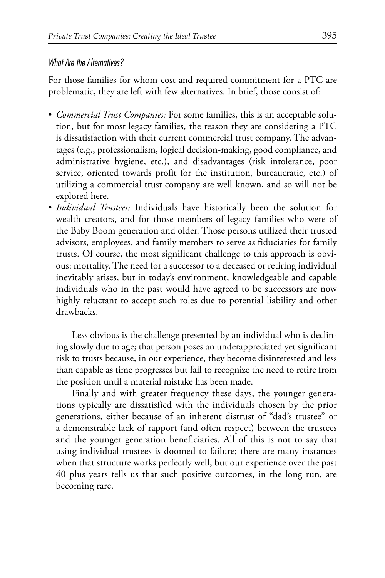#### *What Are the Alternatives?*

For those families for whom cost and required commitment for a PTC are problematic, they are left with few alternatives. In brief, those consist of:

- *Commercial Trust Companies:* For some families, this is an acceptable solution, but for most legacy families, the reason they are considering a PTC is dissatisfaction with their current commercial trust company. The advantages (e.g., professionalism, logical decision-making, good compliance, and administrative hygiene, etc.), and disadvantages (risk intolerance, poor service, oriented towards profit for the institution, bureaucratic, etc.) of utilizing a commercial trust company are well known, and so will not be explored here.
- *Individual Trustees:* Individuals have historically been the solution for wealth creators, and for those members of legacy families who were of the Baby Boom generation and older. Those persons utilized their trusted advisors, employees, and family members to serve as fiduciaries for family trusts. Of course, the most significant challenge to this approach is obvious: mortality. The need for a successor to a deceased or retiring individual inevitably arises, but in today's environment, knowledgeable and capable individuals who in the past would have agreed to be successors are now highly reluctant to accept such roles due to potential liability and other drawbacks.

Less obvious is the challenge presented by an individual who is declining slowly due to age; that person poses an underappreciated yet significant risk to trusts because, in our experience, they become disinterested and less than capable as time progresses but fail to recognize the need to retire from the position until a material mistake has been made.

Finally and with greater frequency these days, the younger generations typically are dissatisfied with the individuals chosen by the prior generations, either because of an inherent distrust of "dad's trustee" or a demonstrable lack of rapport (and often respect) between the trustees and the younger generation beneficiaries. All of this is not to say that using individual trustees is doomed to failure; there are many instances when that structure works perfectly well, but our experience over the past 40 plus years tells us that such positive outcomes, in the long run, are becoming rare.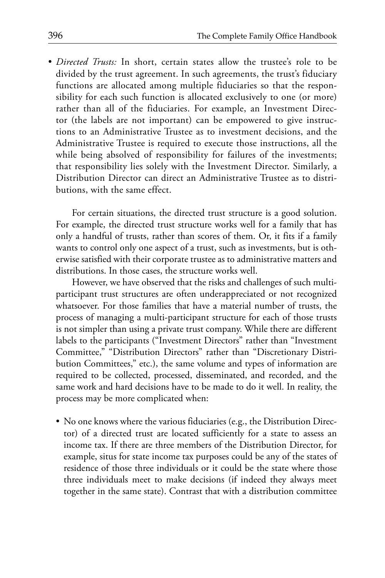• *Directed Trusts:* In short, certain states allow the trustee's role to be divided by the trust agreement. In such agreements, the trust's fiduciary functions are allocated among multiple fiduciaries so that the responsibility for each such function is allocated exclusively to one (or more) rather than all of the fiduciaries. For example, an Investment Director (the labels are not important) can be empowered to give instructions to an Administrative Trustee as to investment decisions, and the Administrative Trustee is required to execute those instructions, all the while being absolved of responsibility for failures of the investments; that responsibility lies solely with the Investment Director. Similarly, a Distribution Director can direct an Administrative Trustee as to distributions, with the same effect.

For certain situations, the directed trust structure is a good solution. For example, the directed trust structure works well for a family that has only a handful of trusts, rather than scores of them. Or, it fits if a family wants to control only one aspect of a trust, such as investments, but is otherwise satisfied with their corporate trustee as to administrative matters and distributions. In those cases, the structure works well.

However, we have observed that the risks and challenges of such multiparticipant trust structures are often underappreciated or not recognized whatsoever. For those families that have a material number of trusts, the process of managing a multi-participant structure for each of those trusts is not simpler than using a private trust company. While there are different labels to the participants ("Investment Directors" rather than "Investment Committee," "Distribution Directors" rather than "Discretionary Distribution Committees," etc.), the same volume and types of information are required to be collected, processed, disseminated, and recorded, and the same work and hard decisions have to be made to do it well. In reality, the process may be more complicated when:

• No one knows where the various fiduciaries (e.g., the Distribution Director) of a directed trust are located sufficiently for a state to assess an income tax. If there are three members of the Distribution Director, for example, situs for state income tax purposes could be any of the states of residence of those three individuals or it could be the state where those three individuals meet to make decisions (if indeed they always meet together in the same state). Contrast that with a distribution committee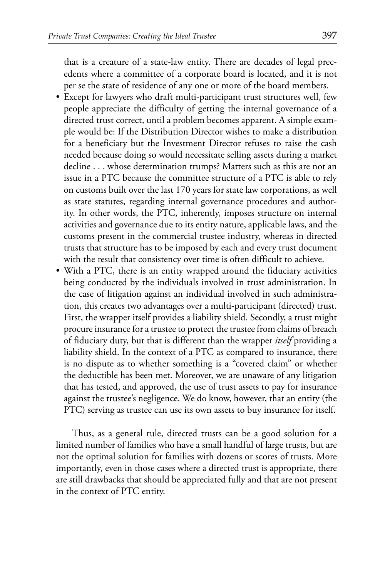that is a creature of a state-law entity. There are decades of legal precedents where a committee of a corporate board is located, and it is not per se the state of residence of any one or more of the board members.

- Except for lawyers who draft multi-participant trust structures well, few people appreciate the difficulty of getting the internal governance of a directed trust correct, until a problem becomes apparent. A simple example would be: If the Distribution Director wishes to make a distribution for a beneficiary but the Investment Director refuses to raise the cash needed because doing so would necessitate selling assets during a market decline . . . whose determination trumps? Matters such as this are not an issue in a PTC because the committee structure of a PTC is able to rely on customs built over the last 170 years for state law corporations, as well as state statutes, regarding internal governance procedures and authority. In other words, the PTC, inherently, imposes structure on internal activities and governance due to its entity nature, applicable laws, and the customs present in the commercial trustee industry, whereas in directed trusts that structure has to be imposed by each and every trust document with the result that consistency over time is often difficult to achieve.
- With a PTC, there is an entity wrapped around the fiduciary activities being conducted by the individuals involved in trust administration. In the case of litigation against an individual involved in such administration, this creates two advantages over a multi-participant (directed) trust. First, the wrapper itself provides a liability shield. Secondly, a trust might procure insurance for a trustee to protect the trustee from claims of breach of fiduciary duty, but that is different than the wrapper *itself* providing a liability shield. In the context of a PTC as compared to insurance, there is no dispute as to whether something is a "covered claim" or whether the deductible has been met. Moreover, we are unaware of any litigation that has tested, and approved, the use of trust assets to pay for insurance against the trustee's negligence. We do know, however, that an entity (the PTC) serving as trustee can use its own assets to buy insurance for itself.

Thus, as a general rule, directed trusts can be a good solution for a limited number of families who have a small handful of large trusts, but are not the optimal solution for families with dozens or scores of trusts. More importantly, even in those cases where a directed trust is appropriate, there are still drawbacks that should be appreciated fully and that are not present in the context of PTC entity.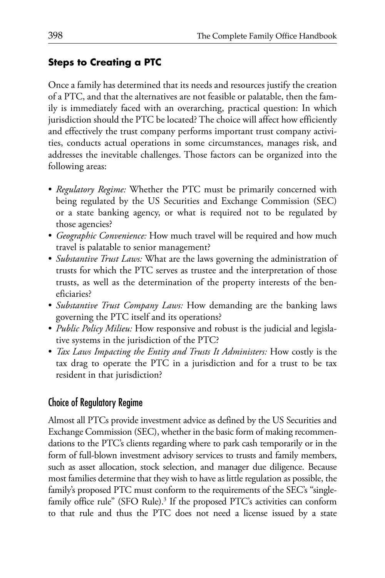# **Steps to Creating a PTC**

Once a family has determined that its needs and resources justify the creation of a PTC, and that the alternatives are not feasible or palatable, then the family is immediately faced with an overarching, practical question: In which jurisdiction should the PTC be located? The choice will affect how efficiently and effectively the trust company performs important trust company activities, conducts actual operations in some circumstances, manages risk, and addresses the inevitable challenges. Those factors can be organized into the following areas:

- *Regulatory Regime:* Whether the PTC must be primarily concerned with being regulated by the US Securities and Exchange Commission (SEC) or a state banking agency, or what is required not to be regulated by those agencies?
- *Geographic Convenience:* How much travel will be required and how much travel is palatable to senior management?
- *Substantive Trust Laws:* What are the laws governing the administration of trusts for which the PTC serves as trustee and the interpretation of those trusts, as well as the determination of the property interests of the beneficiaries?
- *Substantive Trust Company Laws:* How demanding are the banking laws governing the PTC itself and its operations?
- *Public Policy Milieu:* How responsive and robust is the judicial and legislative systems in the jurisdiction of the PTC?
- *Tax Laws Impacting the Entity and Trusts It Administers:* How costly is the tax drag to operate the PTC in a jurisdiction and for a trust to be tax resident in that jurisdiction?

# Choice of Regulatory Regime

Almost all PTCs provide investment advice as defined by the US Securities and Exchange Commission (SEC), whether in the basic form of making recommendations to the PTC's clients regarding where to park cash temporarily or in the form of full-blown investment advisory services to trusts and family members, such as asset allocation, stock selection, and manager due diligence. Because most families determine that they wish to have as little regulation as possible, the family's proposed PTC must conform to the requirements of the SEC's "singlefamily office rule" (SFO Rule).<sup>3</sup> If the proposed PTC's activities can conform to that rule and thus the PTC does not need a license issued by a state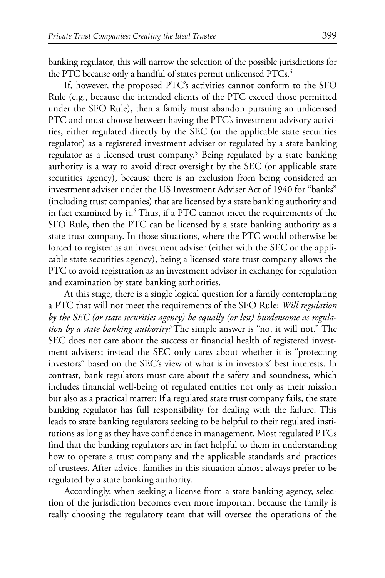banking regulator, this will narrow the selection of the possible jurisdictions for the PTC because only a handful of states permit unlicensed PTCs.<sup>4</sup>

If, however, the proposed PTC's activities cannot conform to the SFO Rule (e.g., because the intended clients of the PTC exceed those permitted under the SFO Rule), then a family must abandon pursuing an unlicensed PTC and must choose between having the PTC's investment advisory activities, either regulated directly by the SEC (or the applicable state securities regulator) as a registered investment adviser or regulated by a state banking regulator as a licensed trust company.<sup>5</sup> Being regulated by a state banking authority is a way to avoid direct oversight by the SEC (or applicable state securities agency), because there is an exclusion from being considered an investment adviser under the US Investment Adviser Act of 1940 for "banks" (including trust companies) that are licensed by a state banking authority and in fact examined by it.6 Thus, if a PTC cannot meet the requirements of the SFO Rule, then the PTC can be licensed by a state banking authority as a state trust company. In those situations, where the PTC would otherwise be forced to register as an investment adviser (either with the SEC or the applicable state securities agency), being a licensed state trust company allows the PTC to avoid registration as an investment advisor in exchange for regulation and examination by state banking authorities.

At this stage, there is a single logical question for a family contemplating a PTC that will not meet the requirements of the SFO Rule: *Will regulation by the SEC (or state securities agency) be equally (or less) burdensome as regulation by a state banking authority?* The simple answer is "no, it will not." The SEC does not care about the success or financial health of registered investment advisers; instead the SEC only cares about whether it is "protecting investors" based on the SEC's view of what is in investors' best interests. In contrast, bank regulators must care about the safety and soundness, which includes financial well-being of regulated entities not only as their mission but also as a practical matter: If a regulated state trust company fails, the state banking regulator has full responsibility for dealing with the failure. This leads to state banking regulators seeking to be helpful to their regulated institutions as long as they have confidence in management. Most regulated PTCs find that the banking regulators are in fact helpful to them in understanding how to operate a trust company and the applicable standards and practices of trustees. After advice, families in this situation almost always prefer to be regulated by a state banking authority.

Accordingly, when seeking a license from a state banking agency, selection of the jurisdiction becomes even more important because the family is really choosing the regulatory team that will oversee the operations of the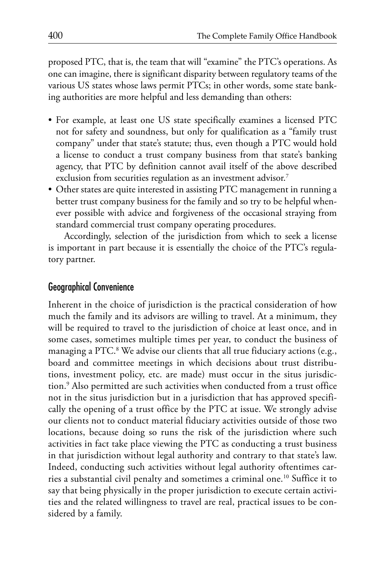proposed PTC, that is, the team that will "examine" the PTC's operations. As one can imagine, there is significant disparity between regulatory teams of the various US states whose laws permit PTCs; in other words, some state banking authorities are more helpful and less demanding than others:

- For example, at least one US state specifically examines a licensed PTC not for safety and soundness, but only for qualification as a "family trust company" under that state's statute; thus, even though a PTC would hold a license to conduct a trust company business from that state's banking agency, that PTC by definition cannot avail itself of the above described exclusion from securities regulation as an investment advisor.<sup>7</sup>
- Other states are quite interested in assisting PTC management in running a better trust company business for the family and so try to be helpful whenever possible with advice and forgiveness of the occasional straying from standard commercial trust company operating procedures.

Accordingly, selection of the jurisdiction from which to seek a license is important in part because it is essentially the choice of the PTC's regulatory partner.

#### Geographical Convenience

Inherent in the choice of jurisdiction is the practical consideration of how much the family and its advisors are willing to travel. At a minimum, they will be required to travel to the jurisdiction of choice at least once, and in some cases, sometimes multiple times per year, to conduct the business of managing a PTC.8 We advise our clients that all true fiduciary actions (e.g., board and committee meetings in which decisions about trust distributions, investment policy, etc. are made) must occur in the situs jurisdiction.9 Also permitted are such activities when conducted from a trust office not in the situs jurisdiction but in a jurisdiction that has approved specifically the opening of a trust office by the PTC at issue. We strongly advise our clients not to conduct material fiduciary activities outside of those two locations, because doing so runs the risk of the jurisdiction where such activities in fact take place viewing the PTC as conducting a trust business in that jurisdiction without legal authority and contrary to that state's law. Indeed, conducting such activities without legal authority oftentimes carries a substantial civil penalty and sometimes a criminal one.10 Suffice it to say that being physically in the proper jurisdiction to execute certain activities and the related willingness to travel are real, practical issues to be considered by a family.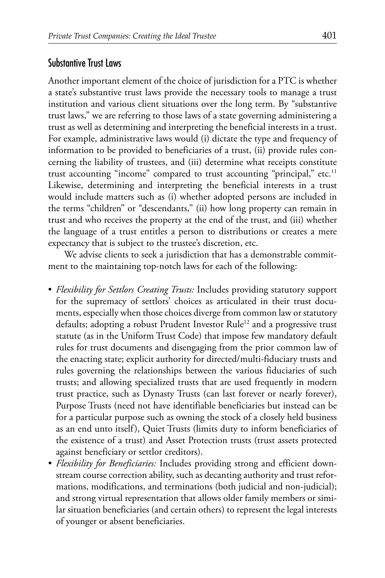# Substantive Trust Laws

Another important element of the choice of jurisdiction for a PTC is whether a state's substantive trust laws provide the necessary tools to manage a trust institution and various client situations over the long term. By "substantive trust laws," we are referring to those laws of a state governing administering a trust as well as determining and interpreting the beneficial interests in a trust. For example, administrative laws would (i) dictate the type and frequency of information to be provided to beneficiaries of a trust, (ii) provide rules concerning the liability of trustees, and (iii) determine what receipts constitute trust accounting "income" compared to trust accounting "principal," etc.<sup>11</sup> Likewise, determining and interpreting the beneficial interests in a trust would include matters such as (i) whether adopted persons are included in the terms "children" or "descendants," (ii) how long property can remain in trust and who receives the property at the end of the trust, and (iii) whether the language of a trust entitles a person to distributions or creates a mere expectancy that is subject to the trustee's discretion, etc.

We advise clients to seek a jurisdiction that has a demonstrable commitment to the maintaining top-notch laws for each of the following:

- *Flexibility for Settlors Creating Trusts:* Includes providing statutory support for the supremacy of settlors' choices as articulated in their trust documents, especially when those choices diverge from common law or statutory defaults; adopting a robust Prudent Investor Rule<sup>12</sup> and a progressive trust statute (as in the Uniform Trust Code) that impose few mandatory default rules for trust documents and disengaging from the prior common law of the enacting state; explicit authority for directed/multi-fiduciary trusts and rules governing the relationships between the various fiduciaries of such trusts; and allowing specialized trusts that are used frequently in modern trust practice, such as Dynasty Trusts (can last forever or nearly forever), Purpose Trusts (need not have identifiable beneficiaries but instead can be for a particular purpose such as owning the stock of a closely held business as an end unto itself), Quiet Trusts (limits duty to inform beneficiaries of the existence of a trust) and Asset Protection trusts (trust assets protected against beneficiary or settlor creditors).
- *Flexibility for Beneficiaries:* Includes providing strong and efficient downstream course correction ability, such as decanting authority and trust reformations, modifications, and terminations (both judicial and non-judicial); and strong virtual representation that allows older family members or similar situation beneficiaries (and certain others) to represent the legal interests of younger or absent beneficiaries.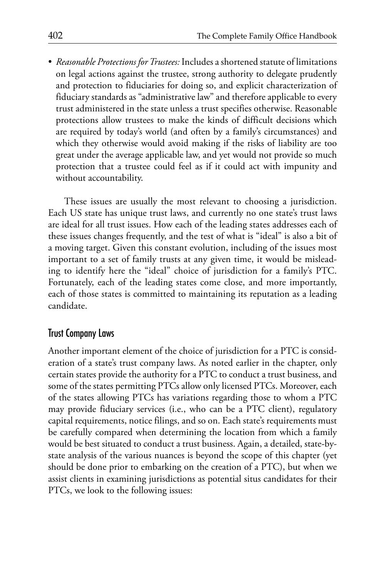• *Reasonable Protections for Trustees:* Includes a shortened statute of limitations on legal actions against the trustee, strong authority to delegate prudently and protection to fiduciaries for doing so, and explicit characterization of fiduciary standards as "administrative law" and therefore applicable to every trust administered in the state unless a trust specifies otherwise. Reasonable protections allow trustees to make the kinds of difficult decisions which are required by today's world (and often by a family's circumstances) and which they otherwise would avoid making if the risks of liability are too great under the average applicable law, and yet would not provide so much protection that a trustee could feel as if it could act with impunity and without accountability.

These issues are usually the most relevant to choosing a jurisdiction. Each US state has unique trust laws, and currently no one state's trust laws are ideal for all trust issues. How each of the leading states addresses each of these issues changes frequently, and the test of what is "ideal" is also a bit of a moving target. Given this constant evolution, including of the issues most important to a set of family trusts at any given time, it would be misleading to identify here the "ideal" choice of jurisdiction for a family's PTC. Fortunately, each of the leading states come close, and more importantly, each of those states is committed to maintaining its reputation as a leading candidate.

#### Trust Company Laws

Another important element of the choice of jurisdiction for a PTC is consideration of a state's trust company laws. As noted earlier in the chapter, only certain states provide the authority for a PTC to conduct a trust business, and some of the states permitting PTCs allow only licensed PTCs. Moreover, each of the states allowing PTCs has variations regarding those to whom a PTC may provide fiduciary services (i.e., who can be a PTC client), regulatory capital requirements, notice filings, and so on. Each state's requirements must be carefully compared when determining the location from which a family would be best situated to conduct a trust business. Again, a detailed, state-bystate analysis of the various nuances is beyond the scope of this chapter (yet should be done prior to embarking on the creation of a PTC), but when we assist clients in examining jurisdictions as potential situs candidates for their PTCs, we look to the following issues: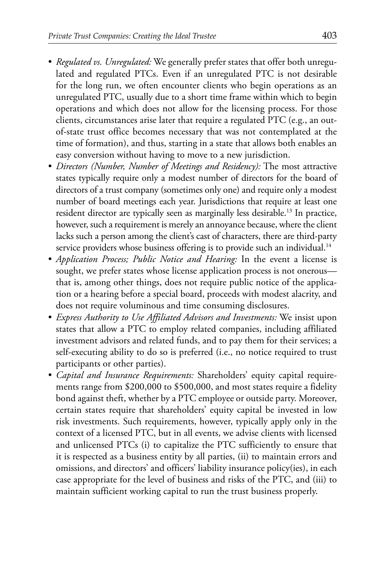- *Regulated vs. Unregulated:* We generally prefer states that offer both unregulated and regulated PTCs. Even if an unregulated PTC is not desirable for the long run, we often encounter clients who begin operations as an unregulated PTC, usually due to a short time frame within which to begin operations and which does not allow for the licensing process. For those clients, circumstances arise later that require a regulated PTC (e.g., an outof-state trust office becomes necessary that was not contemplated at the time of formation), and thus, starting in a state that allows both enables an easy conversion without having to move to a new jurisdiction.
- *Directors (Number, Number of Meetings and Residency):* The most attractive states typically require only a modest number of directors for the board of directors of a trust company (sometimes only one) and require only a modest number of board meetings each year. Jurisdictions that require at least one resident director are typically seen as marginally less desirable.<sup>13</sup> In practice, however, such a requirement is merely an annoyance because, where the client lacks such a person among the client's cast of characters, there are third-party service providers whose business offering is to provide such an individual.<sup>14</sup>
- *Application Process; Public Notice and Hearing:* In the event a license is sought, we prefer states whose license application process is not onerous that is, among other things, does not require public notice of the application or a hearing before a special board, proceeds with modest alacrity, and does not require voluminous and time consuming disclosures.
- *Express Authority to Use Affiliated Advisors and Investments:* We insist upon states that allow a PTC to employ related companies, including affiliated investment advisors and related funds, and to pay them for their services; a self-executing ability to do so is preferred (i.e., no notice required to trust participants or other parties).
- *Capital and Insurance Requirements:* Shareholders' equity capital requirements range from \$200,000 to \$500,000, and most states require a fidelity bond against theft, whether by a PTC employee or outside party. Moreover, certain states require that shareholders' equity capital be invested in low risk investments. Such requirements, however, typically apply only in the context of a licensed PTC, but in all events, we advise clients with licensed and unlicensed PTCs (i) to capitalize the PTC sufficiently to ensure that it is respected as a business entity by all parties, (ii) to maintain errors and omissions, and directors' and officers' liability insurance policy(ies), in each case appropriate for the level of business and risks of the PTC, and (iii) to maintain sufficient working capital to run the trust business properly.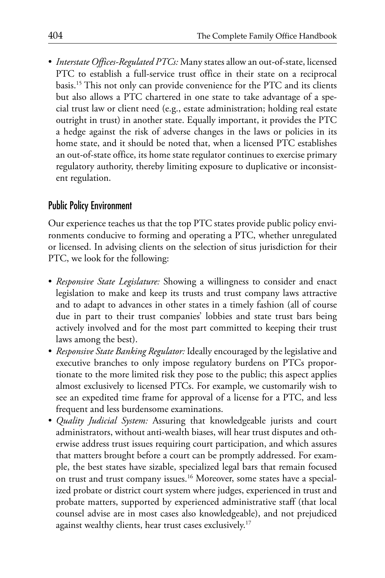• *Interstate Offices-Regulated PTCs:* Many states allow an out-of-state, licensed PTC to establish a full-service trust office in their state on a reciprocal basis.15 This not only can provide convenience for the PTC and its clients but also allows a PTC chartered in one state to take advantage of a special trust law or client need (e.g., estate administration; holding real estate outright in trust) in another state. Equally important, it provides the PTC a hedge against the risk of adverse changes in the laws or policies in its home state, and it should be noted that, when a licensed PTC establishes an out-of-state office, its home state regulator continues to exercise primary regulatory authority, thereby limiting exposure to duplicative or inconsistent regulation.

## Public Policy Environment

Our experience teaches us that the top PTC states provide public policy environments conducive to forming and operating a PTC, whether unregulated or licensed. In advising clients on the selection of situs jurisdiction for their PTC, we look for the following:

- *Responsive State Legislature:* Showing a willingness to consider and enact legislation to make and keep its trusts and trust company laws attractive and to adapt to advances in other states in a timely fashion (all of course due in part to their trust companies' lobbies and state trust bars being actively involved and for the most part committed to keeping their trust laws among the best).
- *Responsive State Banking Regulator:* Ideally encouraged by the legislative and executive branches to only impose regulatory burdens on PTCs proportionate to the more limited risk they pose to the public; this aspect applies almost exclusively to licensed PTCs. For example, we customarily wish to see an expedited time frame for approval of a license for a PTC, and less frequent and less burdensome examinations.
- *Quality Judicial System:* Assuring that knowledgeable jurists and court administrators, without anti-wealth biases, will hear trust disputes and otherwise address trust issues requiring court participation, and which assures that matters brought before a court can be promptly addressed. For example, the best states have sizable, specialized legal bars that remain focused on trust and trust company issues.16 Moreover, some states have a specialized probate or district court system where judges, experienced in trust and probate matters, supported by experienced administrative staff (that local counsel advise are in most cases also knowledgeable), and not prejudiced against wealthy clients, hear trust cases exclusively.<sup>17</sup>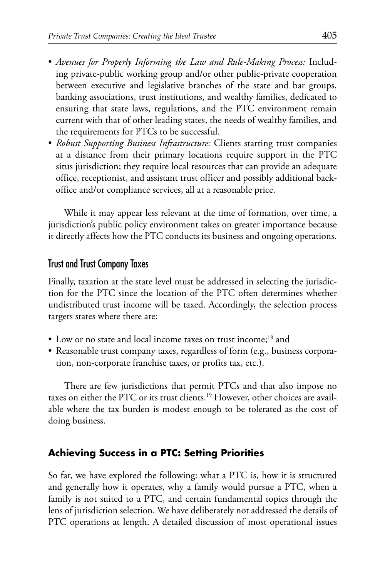- *Avenues for Properly Informing the Law and Rule-Making Process:* Including private-public working group and/or other public-private cooperation between executive and legislative branches of the state and bar groups, banking associations, trust institutions, and wealthy families, dedicated to ensuring that state laws, regulations, and the PTC environment remain current with that of other leading states, the needs of wealthy families, and the requirements for PTCs to be successful.
- *Robust Supporting Business Infrastructure:* Clients starting trust companies at a distance from their primary locations require support in the PTC situs jurisdiction; they require local resources that can provide an adequate office, receptionist, and assistant trust officer and possibly additional backoffice and/or compliance services, all at a reasonable price.

While it may appear less relevant at the time of formation, over time, a jurisdiction's public policy environment takes on greater importance because it directly affects how the PTC conducts its business and ongoing operations.

# Trust and Trust Company Taxes

Finally, taxation at the state level must be addressed in selecting the jurisdiction for the PTC since the location of the PTC often determines whether undistributed trust income will be taxed. Accordingly, the selection process targets states where there are:

- Low or no state and local income taxes on trust income;<sup>18</sup> and
- Reasonable trust company taxes, regardless of form (e.g., business corporation, non-corporate franchise taxes, or profits tax, etc.).

There are few jurisdictions that permit PTCs and that also impose no taxes on either the PTC or its trust clients.19 However, other choices are available where the tax burden is modest enough to be tolerated as the cost of doing business.

# **Achieving Success in a PTC: Setting Priorities**

So far, we have explored the following: what a PTC is, how it is structured and generally how it operates, why a family would pursue a PTC, when a family is not suited to a PTC, and certain fundamental topics through the lens of jurisdiction selection. We have deliberately not addressed the details of PTC operations at length. A detailed discussion of most operational issues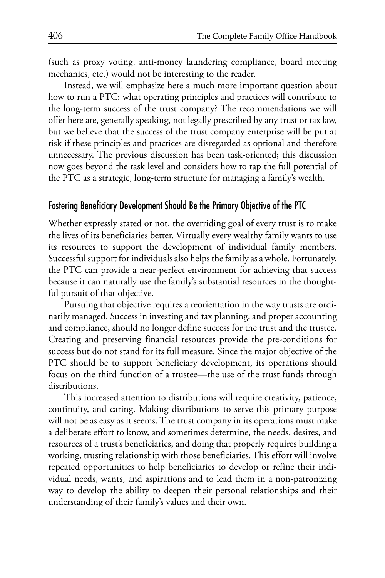(such as proxy voting, anti-money laundering compliance, board meeting mechanics, etc.) would not be interesting to the reader.

Instead, we will emphasize here a much more important question about how to run a PTC: what operating principles and practices will contribute to the long-term success of the trust company? The recommendations we will offer here are, generally speaking, not legally prescribed by any trust or tax law, but we believe that the success of the trust company enterprise will be put at risk if these principles and practices are disregarded as optional and therefore unnecessary. The previous discussion has been task-oriented; this discussion now goes beyond the task level and considers how to tap the full potential of the PTC as a strategic, long-term structure for managing a family's wealth.

### Fostering Beneficiary Development Should Be the Primary Objective of the PTC

Whether expressly stated or not, the overriding goal of every trust is to make the lives of its beneficiaries better. Virtually every wealthy family wants to use its resources to support the development of individual family members. Successful support for individuals also helps the family as a whole. Fortunately, the PTC can provide a near-perfect environment for achieving that success because it can naturally use the family's substantial resources in the thoughtful pursuit of that objective.

Pursuing that objective requires a reorientation in the way trusts are ordinarily managed. Success in investing and tax planning, and proper accounting and compliance, should no longer define success for the trust and the trustee. Creating and preserving financial resources provide the pre-conditions for success but do not stand for its full measure. Since the major objective of the PTC should be to support beneficiary development, its operations should focus on the third function of a trustee—the use of the trust funds through distributions.

This increased attention to distributions will require creativity, patience, continuity, and caring. Making distributions to serve this primary purpose will not be as easy as it seems. The trust company in its operations must make a deliberate effort to know, and sometimes determine, the needs, desires, and resources of a trust's beneficiaries, and doing that properly requires building a working, trusting relationship with those beneficiaries. This effort will involve repeated opportunities to help beneficiaries to develop or refine their individual needs, wants, and aspirations and to lead them in a non-patronizing way to develop the ability to deepen their personal relationships and their understanding of their family's values and their own.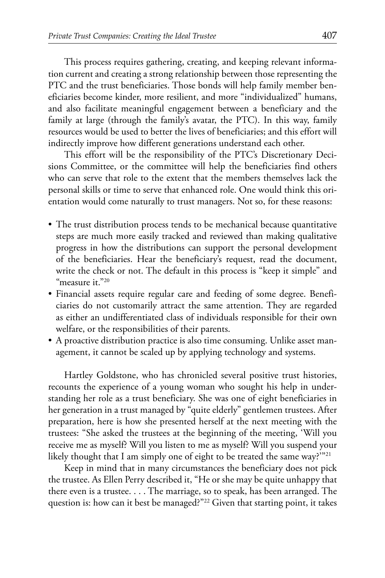This process requires gathering, creating, and keeping relevant information current and creating a strong relationship between those representing the PTC and the trust beneficiaries. Those bonds will help family member beneficiaries become kinder, more resilient, and more "individualized" humans, and also facilitate meaningful engagement between a beneficiary and the family at large (through the family's avatar, the PTC). In this way, family resources would be used to better the lives of beneficiaries; and this effort will indirectly improve how different generations understand each other.

This effort will be the responsibility of the PTC's Discretionary Decisions Committee, or the committee will help the beneficiaries find others who can serve that role to the extent that the members themselves lack the personal skills or time to serve that enhanced role. One would think this orientation would come naturally to trust managers. Not so, for these reasons:

- The trust distribution process tends to be mechanical because quantitative steps are much more easily tracked and reviewed than making qualitative progress in how the distributions can support the personal development of the beneficiaries. Hear the beneficiary's request, read the document, write the check or not. The default in this process is "keep it simple" and "measure it."20
- Financial assets require regular care and feeding of some degree. Beneficiaries do not customarily attract the same attention. They are regarded as either an undifferentiated class of individuals responsible for their own welfare, or the responsibilities of their parents.
- A proactive distribution practice is also time consuming. Unlike asset management, it cannot be scaled up by applying technology and systems.

Hartley Goldstone, who has chronicled several positive trust histories, recounts the experience of a young woman who sought his help in understanding her role as a trust beneficiary. She was one of eight beneficiaries in her generation in a trust managed by "quite elderly" gentlemen trustees. After preparation, here is how she presented herself at the next meeting with the trustees: "She asked the trustees at the beginning of the meeting, 'Will you receive me as myself? Will you listen to me as myself? Will you suspend your likely thought that I am simply one of eight to be treated the same way?"<sup>21</sup>

Keep in mind that in many circumstances the beneficiary does not pick the trustee. As Ellen Perry described it, "He or she may be quite unhappy that there even is a trustee. . . . The marriage, so to speak, has been arranged. The question is: how can it best be managed?"<sup>22</sup> Given that starting point, it takes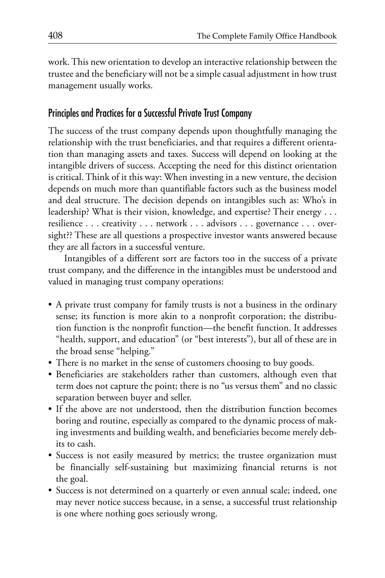work. This new orientation to develop an interactive relationship between the trustee and the beneficiary will not be a simple casual adjustment in how trust management usually works.

# Principles and Practices for a Successful Private Trust Company

The success of the trust company depends upon thoughtfully managing the relationship with the trust beneficiaries, and that requires a different orientation than managing assets and taxes. Success will depend on looking at the intangible drivers of success. Accepting the need for this distinct orientation is critical. Think of it this way: When investing in a new venture, the decision depends on much more than quantifiable factors such as the business model and deal structure. The decision depends on intangibles such as: Who's in leadership? What is their vision, knowledge, and expertise? Their energy . . . resilience . . . creativity . . . network . . . advisors . . . governance . . . oversight?? These are all questions a prospective investor wants answered because they are all factors in a successful venture.

Intangibles of a different sort are factors too in the success of a private trust company, and the difference in the intangibles must be understood and valued in managing trust company operations:

- A private trust company for family trusts is not a business in the ordinary sense; its function is more akin to a nonprofit corporation; the distribution function is the nonprofit function—the benefit function. It addresses "health, support, and education" (or "best interests"), but all of these are in the broad sense "helping."
- There is no market in the sense of customers choosing to buy goods.
- Beneficiaries are stakeholders rather than customers, although even that term does not capture the point; there is no "us versus them" and no classic separation between buyer and seller.
- If the above are not understood, then the distribution function becomes boring and routine, especially as compared to the dynamic process of making investments and building wealth, and beneficiaries become merely debits to cash.
- Success is not easily measured by metrics; the trustee organization must be financially self-sustaining but maximizing financial returns is not the goal.
- Success is not determined on a quarterly or even annual scale; indeed, one may never notice success because, in a sense, a successful trust relationship is one where nothing goes seriously wrong.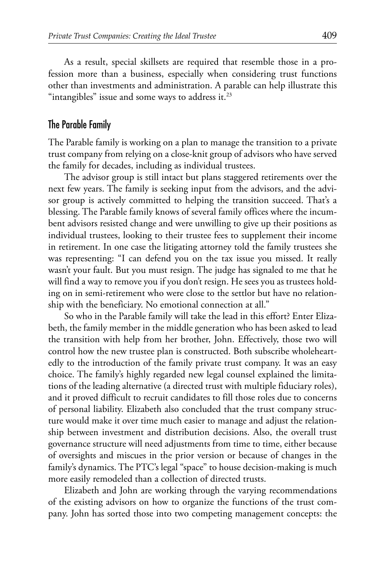As a result, special skillsets are required that resemble those in a profession more than a business, especially when considering trust functions other than investments and administration. A parable can help illustrate this "intangibles" issue and some ways to address it. $^{23}$ 

#### The Parable Family

The Parable family is working on a plan to manage the transition to a private trust company from relying on a close-knit group of advisors who have served the family for decades, including as individual trustees.

The advisor group is still intact but plans staggered retirements over the next few years. The family is seeking input from the advisors, and the advisor group is actively committed to helping the transition succeed. That's a blessing. The Parable family knows of several family offices where the incumbent advisors resisted change and were unwilling to give up their positions as individual trustees, looking to their trustee fees to supplement their income in retirement. In one case the litigating attorney told the family trustees she was representing: "I can defend you on the tax issue you missed. It really wasn't your fault. But you must resign. The judge has signaled to me that he will find a way to remove you if you don't resign. He sees you as trustees holding on in semi-retirement who were close to the settlor but have no relationship with the beneficiary. No emotional connection at all."

So who in the Parable family will take the lead in this effort? Enter Elizabeth, the family member in the middle generation who has been asked to lead the transition with help from her brother, John. Effectively, those two will control how the new trustee plan is constructed. Both subscribe wholeheartedly to the introduction of the family private trust company. It was an easy choice. The family's highly regarded new legal counsel explained the limitations of the leading alternative (a directed trust with multiple fiduciary roles), and it proved difficult to recruit candidates to fill those roles due to concerns of personal liability. Elizabeth also concluded that the trust company structure would make it over time much easier to manage and adjust the relationship between investment and distribution decisions. Also, the overall trust governance structure will need adjustments from time to time, either because of oversights and miscues in the prior version or because of changes in the family's dynamics. The PTC's legal "space" to house decision-making is much more easily remodeled than a collection of directed trusts.

Elizabeth and John are working through the varying recommendations of the existing advisors on how to organize the functions of the trust company. John has sorted those into two competing management concepts: the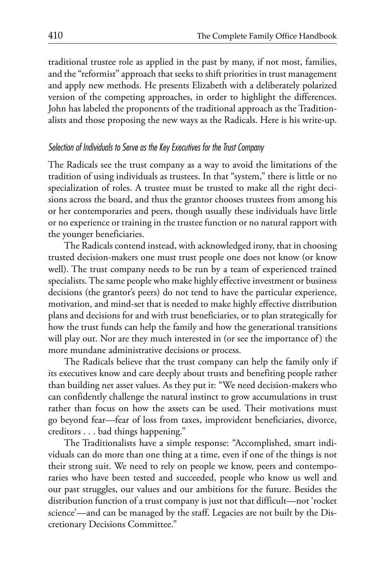traditional trustee role as applied in the past by many, if not most, families, and the "reformist" approach that seeks to shift priorities in trust management and apply new methods. He presents Elizabeth with a deliberately polarized version of the competing approaches, in order to highlight the differences. John has labeled the proponents of the traditional approach as the Traditionalists and those proposing the new ways as the Radicals. Here is his write-up.

#### *Selection of Individuals to Serve as the Key Executives for the Trust Company*

The Radicals see the trust company as a way to avoid the limitations of the tradition of using individuals as trustees. In that "system," there is little or no specialization of roles. A trustee must be trusted to make all the right decisions across the board, and thus the grantor chooses trustees from among his or her contemporaries and peers, though usually these individuals have little or no experience or training in the trustee function or no natural rapport with the younger beneficiaries.

The Radicals contend instead, with acknowledged irony, that in choosing trusted decision-makers one must trust people one does not know (or know well). The trust company needs to be run by a team of experienced trained specialists. The same people who make highly effective investment or business decisions (the grantor's peers) do not tend to have the particular experience, motivation, and mind-set that is needed to make highly effective distribution plans and decisions for and with trust beneficiaries, or to plan strategically for how the trust funds can help the family and how the generational transitions will play out. Nor are they much interested in (or see the importance of) the more mundane administrative decisions or process.

The Radicals believe that the trust company can help the family only if its executives know and care deeply about trusts and benefiting people rather than building net asset values. As they put it: "We need decision-makers who can confidently challenge the natural instinct to grow accumulations in trust rather than focus on how the assets can be used. Their motivations must go beyond fear—fear of loss from taxes, improvident beneficiaries, divorce, creditors . . . bad things happening."

The Traditionalists have a simple response: "Accomplished, smart individuals can do more than one thing at a time, even if one of the things is not their strong suit. We need to rely on people we know, peers and contemporaries who have been tested and succeeded, people who know us well and our past struggles, our values and our ambitions for the future. Besides the distribution function of a trust company is just not that difficult—not 'rocket science'—and can be managed by the staff. Legacies are not built by the Discretionary Decisions Committee."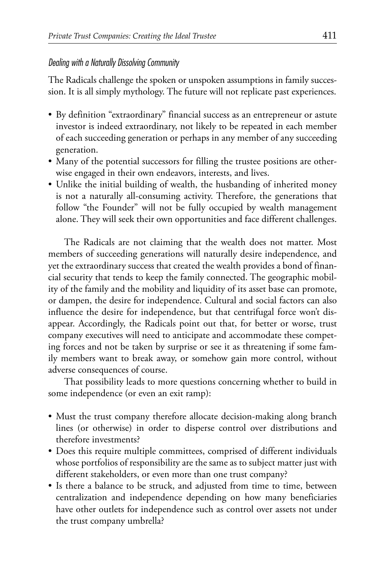#### *Dealing with a Naturally Dissolving Community*

The Radicals challenge the spoken or unspoken assumptions in family succession. It is all simply mythology. The future will not replicate past experiences.

- By definition "extraordinary" financial success as an entrepreneur or astute investor is indeed extraordinary, not likely to be repeated in each member of each succeeding generation or perhaps in any member of any succeeding generation.
- Many of the potential successors for filling the trustee positions are otherwise engaged in their own endeavors, interests, and lives.
- Unlike the initial building of wealth, the husbanding of inherited money is not a naturally all-consuming activity. Therefore, the generations that follow "the Founder" will not be fully occupied by wealth management alone. They will seek their own opportunities and face different challenges.

The Radicals are not claiming that the wealth does not matter. Most members of succeeding generations will naturally desire independence, and yet the extraordinary success that created the wealth provides a bond of financial security that tends to keep the family connected. The geographic mobility of the family and the mobility and liquidity of its asset base can promote, or dampen, the desire for independence. Cultural and social factors can also influence the desire for independence, but that centrifugal force won't disappear. Accordingly, the Radicals point out that, for better or worse, trust company executives will need to anticipate and accommodate these competing forces and not be taken by surprise or see it as threatening if some family members want to break away, or somehow gain more control, without adverse consequences of course.

That possibility leads to more questions concerning whether to build in some independence (or even an exit ramp):

- Must the trust company therefore allocate decision-making along branch lines (or otherwise) in order to disperse control over distributions and therefore investments?
- Does this require multiple committees, comprised of different individuals whose portfolios of responsibility are the same as to subject matter just with different stakeholders, or even more than one trust company?
- Is there a balance to be struck, and adjusted from time to time, between centralization and independence depending on how many beneficiaries have other outlets for independence such as control over assets not under the trust company umbrella?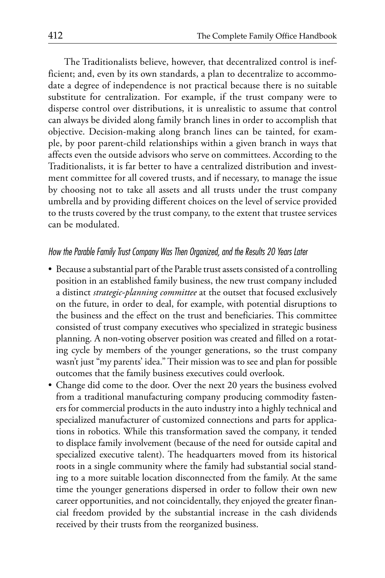The Traditionalists believe, however, that decentralized control is inefficient; and, even by its own standards, a plan to decentralize to accommodate a degree of independence is not practical because there is no suitable substitute for centralization. For example, if the trust company were to disperse control over distributions, it is unrealistic to assume that control can always be divided along family branch lines in order to accomplish that objective. Decision-making along branch lines can be tainted, for example, by poor parent-child relationships within a given branch in ways that affects even the outside advisors who serve on committees. According to the Traditionalists, it is far better to have a centralized distribution and investment committee for all covered trusts, and if necessary, to manage the issue by choosing not to take all assets and all trusts under the trust company umbrella and by providing different choices on the level of service provided to the trusts covered by the trust company, to the extent that trustee services can be modulated.

#### *How the Parable Family Trust Company Was Then Organized, and the Results 20 Years Later*

- Because a substantial part of the Parable trust assets consisted of a controlling position in an established family business, the new trust company included a distinct *strategic-planning committee* at the outset that focused exclusively on the future, in order to deal, for example, with potential disruptions to the business and the effect on the trust and beneficiaries. This committee consisted of trust company executives who specialized in strategic business planning. A non-voting observer position was created and filled on a rotating cycle by members of the younger generations, so the trust company wasn't just "my parents' idea." Their mission was to see and plan for possible outcomes that the family business executives could overlook.
- Change did come to the door. Over the next 20 years the business evolved from a traditional manufacturing company producing commodity fasteners for commercial products in the auto industry into a highly technical and specialized manufacturer of customized connections and parts for applications in robotics. While this transformation saved the company, it tended to displace family involvement (because of the need for outside capital and specialized executive talent). The headquarters moved from its historical roots in a single community where the family had substantial social standing to a more suitable location disconnected from the family. At the same time the younger generations dispersed in order to follow their own new career opportunities, and not coincidentally, they enjoyed the greater financial freedom provided by the substantial increase in the cash dividends received by their trusts from the reorganized business.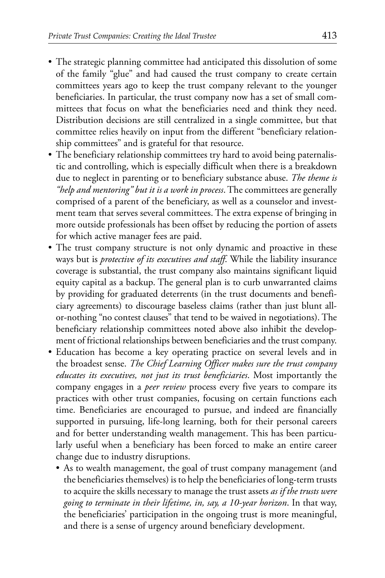- The strategic planning committee had anticipated this dissolution of some of the family "glue" and had caused the trust company to create certain committees years ago to keep the trust company relevant to the younger beneficiaries. In particular, the trust company now has a set of small committees that focus on what the beneficiaries need and think they need. Distribution decisions are still centralized in a single committee, but that committee relies heavily on input from the different "beneficiary relationship committees" and is grateful for that resource.
- The beneficiary relationship committees try hard to avoid being paternalistic and controlling, which is especially difficult when there is a breakdown due to neglect in parenting or to beneficiary substance abuse. *The theme is "help and mentoring" but it is a work in process*. The committees are generally comprised of a parent of the beneficiary, as well as a counselor and investment team that serves several committees. The extra expense of bringing in more outside professionals has been offset by reducing the portion of assets for which active manager fees are paid.
- The trust company structure is not only dynamic and proactive in these ways but is *protective of its executives and staff*. While the liability insurance coverage is substantial, the trust company also maintains significant liquid equity capital as a backup. The general plan is to curb unwarranted claims by providing for graduated deterrents (in the trust documents and beneficiary agreements) to discourage baseless claims (rather than just blunt allor-nothing "no contest clauses" that tend to be waived in negotiations). The beneficiary relationship committees noted above also inhibit the development of frictional relationships between beneficiaries and the trust company.
- Education has become a key operating practice on several levels and in the broadest sense. *The Chief Learning Officer makes sure the trust company educates its executives, not just its trust beneficiaries*. Most importantly the company engages in a *peer review* process every five years to compare its practices with other trust companies, focusing on certain functions each time. Beneficiaries are encouraged to pursue, and indeed are financially supported in pursuing, life-long learning, both for their personal careers and for better understanding wealth management. This has been particularly useful when a beneficiary has been forced to make an entire career change due to industry disruptions.
	- As to wealth management, the goal of trust company management (and the beneficiaries themselves) is to help the beneficiaries of long-term trusts to acquire the skills necessary to manage the trust assets *as if the trusts were going to terminate in their lifetime, in, say, a 10-year horizon*. In that way, the beneficiaries' participation in the ongoing trust is more meaningful, and there is a sense of urgency around beneficiary development.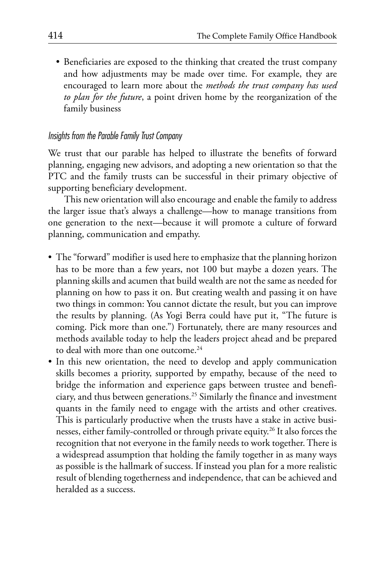• Beneficiaries are exposed to the thinking that created the trust company and how adjustments may be made over time. For example, they are encouraged to learn more about the *methods the trust company has used to plan for the future*, a point driven home by the reorganization of the family business

#### *Insights from the Parable Family Trust Company*

We trust that our parable has helped to illustrate the benefits of forward planning, engaging new advisors, and adopting a new orientation so that the PTC and the family trusts can be successful in their primary objective of supporting beneficiary development.

This new orientation will also encourage and enable the family to address the larger issue that's always a challenge—how to manage transitions from one generation to the next—because it will promote a culture of forward planning, communication and empathy.

- The "forward" modifier is used here to emphasize that the planning horizon has to be more than a few years, not 100 but maybe a dozen years. The planning skills and acumen that build wealth are not the same as needed for planning on how to pass it on. But creating wealth and passing it on have two things in common: You cannot dictate the result, but you can improve the results by planning. (As Yogi Berra could have put it, "The future is coming. Pick more than one.") Fortunately, there are many resources and methods available today to help the leaders project ahead and be prepared to deal with more than one outcome.<sup>24</sup>
- In this new orientation, the need to develop and apply communication skills becomes a priority, supported by empathy, because of the need to bridge the information and experience gaps between trustee and beneficiary, and thus between generations.25 Similarly the finance and investment quants in the family need to engage with the artists and other creatives. This is particularly productive when the trusts have a stake in active businesses, either family-controlled or through private equity.<sup>26</sup> It also forces the recognition that not everyone in the family needs to work together. There is a widespread assumption that holding the family together in as many ways as possible is the hallmark of success. If instead you plan for a more realistic result of blending togetherness and independence, that can be achieved and heralded as a success.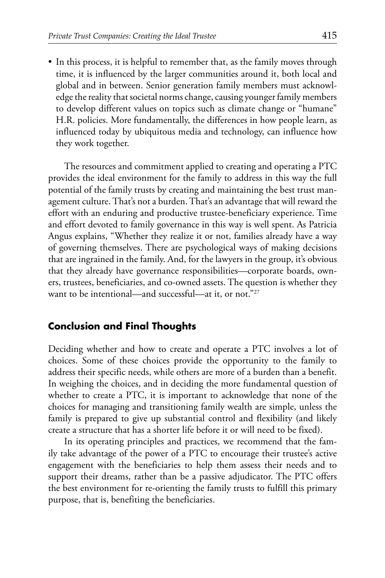• In this process, it is helpful to remember that, as the family moves through time, it is influenced by the larger communities around it, both local and global and in between. Senior generation family members must acknowledge the reality that societal norms change, causing younger family members to develop different values on topics such as climate change or "humane" H.R. policies. More fundamentally, the differences in how people learn, as influenced today by ubiquitous media and technology, can influence how they work together.

The resources and commitment applied to creating and operating a PTC provides the ideal environment for the family to address in this way the full potential of the family trusts by creating and maintaining the best trust management culture. That's not a burden. That's an advantage that will reward the effort with an enduring and productive trustee-beneficiary experience. Time and effort devoted to family governance in this way is well spent. As Patricia Angus explains, "Whether they realize it or not, families already have a way of governing themselves. There are psychological ways of making decisions that are ingrained in the family. And, for the lawyers in the group, it's obvious that they already have governance responsibilities—corporate boards, owners, trustees, beneficiaries, and co-owned assets. The question is whether they want to be intentional—and successful—at it, or not."<sup>27</sup>

#### **Conclusion and Final Thoughts**

Deciding whether and how to create and operate a PTC involves a lot of choices. Some of these choices provide the opportunity to the family to address their specific needs, while others are more of a burden than a benefit. In weighing the choices, and in deciding the more fundamental question of whether to create a PTC, it is important to acknowledge that none of the choices for managing and transitioning family wealth are simple, unless the family is prepared to give up substantial control and flexibility (and likely create a structure that has a shorter life before it or will need to be fixed).

In its operating principles and practices, we recommend that the family take advantage of the power of a PTC to encourage their trustee's active engagement with the beneficiaries to help them assess their needs and to support their dreams, rather than be a passive adjudicator. The PTC offers the best environment for re-orienting the family trusts to fulfill this primary purpose, that is, benefiting the beneficiaries.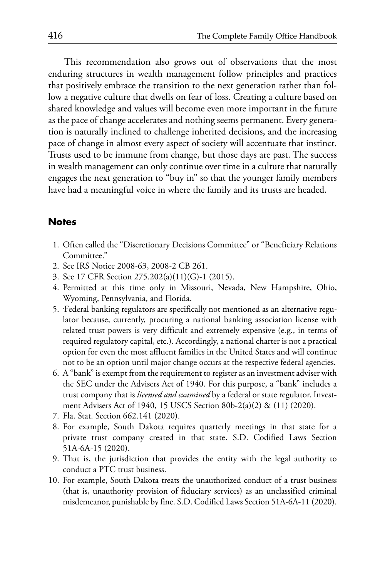This recommendation also grows out of observations that the most enduring structures in wealth management follow principles and practices that positively embrace the transition to the next generation rather than follow a negative culture that dwells on fear of loss. Creating a culture based on shared knowledge and values will become even more important in the future as the pace of change accelerates and nothing seems permanent. Every generation is naturally inclined to challenge inherited decisions, and the increasing pace of change in almost every aspect of society will accentuate that instinct. Trusts used to be immune from change, but those days are past. The success in wealth management can only continue over time in a culture that naturally engages the next generation to "buy in" so that the younger family members have had a meaningful voice in where the family and its trusts are headed.

#### **Notes**

- 1. Often called the "Discretionary Decisions Committee" or "Beneficiary Relations Committee."
- 2. See IRS Notice 2008-63, 2008-2 CB 261.
- 3. See 17 CFR Section 275.202(a)(11)(G)-1 (2015).
- 4. Permitted at this time only in Missouri, Nevada, New Hampshire, Ohio, Wyoming, Pennsylvania, and Florida.
- 5. . Federal banking regulators are specifically not mentioned as an alternative regulator because, currently, procuring a national banking association license with related trust powers is very difficult and extremely expensive (e.g., in terms of required regulatory capital, etc.). Accordingly, a national charter is not a practical option for even the most affluent families in the United States and will continue not to be an option until major change occurs at the respective federal agencies.
- 6. A "bank" is exempt from the requirement to register as an investment adviser with the SEC under the Advisers Act of 1940. For this purpose, a "bank" includes a trust company that is *licensed and examined* by a federal or state regulator. Investment Advisers Act of 1940, 15 USCS Section 80b-2(a)(2) & (11) (2020).
- 7. Fla. Stat. Section 662.141 (2020).
- 8. For example, South Dakota requires quarterly meetings in that state for a private trust company created in that state. S.D. Codified Laws Section 51A-6A-15 (2020).
- 9. That is, the jurisdiction that provides the entity with the legal authority to conduct a PTC trust business.
- 10. For example, South Dakota treats the unauthorized conduct of a trust business (that is, unauthority provision of fiduciary services) as an unclassified criminal misdemeanor, punishable by fine. S.D. Codified Laws Section 51A-6A-11 (2020).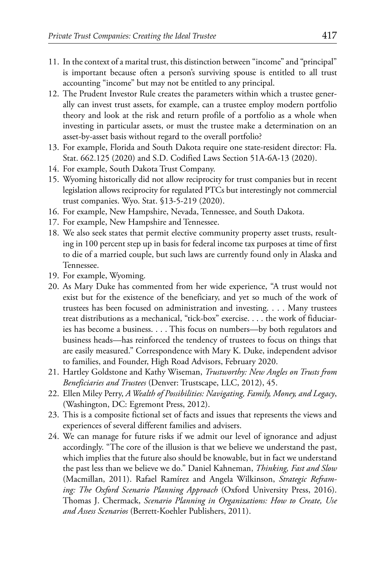- 11. In the context of a marital trust, this distinction between "income" and "principal" is important because often a person's surviving spouse is entitled to all trust accounting "income" but may not be entitled to any principal.
- 12. The Prudent Investor Rule creates the parameters within which a trustee generally can invest trust assets, for example, can a trustee employ modern portfolio theory and look at the risk and return profile of a portfolio as a whole when investing in particular assets, or must the trustee make a determination on an asset-by-asset basis without regard to the overall portfolio?
- 13. For example, Florida and South Dakota require one state-resident director: Fla. Stat. 662.125 (2020) and S.D. Codified Laws Section 51A-6A-13 (2020).
- 14. For example, South Dakota Trust Company.
- 15. Wyoming historically did not allow reciprocity for trust companies but in recent legislation allows reciprocity for regulated PTCs but interestingly not commercial trust companies. Wyo. Stat. §13-5-219 (2020).
- 16. For example, New Hampshire, Nevada, Tennessee, and South Dakota.
- 17. For example, New Hampshire and Tennessee.
- 18. We also seek states that permit elective community property asset trusts, resulting in 100 percent step up in basis for federal income tax purposes at time of first to die of a married couple, but such laws are currently found only in Alaska and Tennessee.
- 19. For example, Wyoming.
- 20. As Mary Duke has commented from her wide experience, "A trust would not exist but for the existence of the beneficiary, and yet so much of the work of trustees has been focused on administration and investing. . . . Many trustees treat distributions as a mechanical, "tick-box" exercise. . . . the work of fiduciaries has become a business. . . . This focus on numbers—by both regulators and business heads—has reinforced the tendency of trustees to focus on things that are easily measured." Correspondence with Mary K. Duke, independent advisor to families, and Founder, High Road Advisors, February 2020.
- 21. Hartley Goldstone and Kathy Wiseman, *Trustworthy: New Angles on Trusts from Beneficiaries and Trustees* (Denver: Trustscape, LLC, 2012), 45.
- 22. Ellen Miley Perry, *A Wealth of Possibilities: Navigating, Family, Money, and Legacy*, (Washington, DC: Egremont Press, 2012).
- 23. This is a composite fictional set of facts and issues that represents the views and experiences of several different families and advisers.
- 24. We can manage for future risks if we admit our level of ignorance and adjust accordingly. "The core of the illusion is that we believe we understand the past, which implies that the future also should be knowable, but in fact we understand the past less than we believe we do." Daniel Kahneman, *Thinking, Fast and Slow* (Macmillan, 2011). Rafael Ramírez and Angela Wilkinson, *Strategic Reframing: The Oxford Scenario Planning Approach* (Oxford University Press, 2016). Thomas J. Chermack, *Scenario Planning in Organizations: How to Create, Use and Assess Scenarios* (Berrett-Koehler Publishers, 2011).